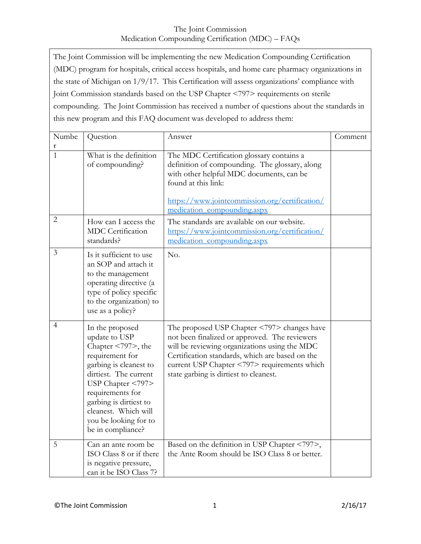| The Joint Commission will be implementing the new Medication Compounding Certification            |
|---------------------------------------------------------------------------------------------------|
| (MDC) program for hospitals, critical access hospitals, and home care pharmacy organizations in   |
| the state of Michigan on $1/9/17$ . This Certification will assess organizations' compliance with |
| Joint Commission standards based on the USP Chapter <797> requirements on sterile                 |
| compounding. The Joint Commission has received a number of questions about the standards in       |
| this new program and this FAQ document was developed to address them:                             |

| Numbe<br>r     | Question                                                                                                                                                                                                                                                                               | Answer                                                                                                                                                                                                                                                                                     | Comment |
|----------------|----------------------------------------------------------------------------------------------------------------------------------------------------------------------------------------------------------------------------------------------------------------------------------------|--------------------------------------------------------------------------------------------------------------------------------------------------------------------------------------------------------------------------------------------------------------------------------------------|---------|
| $\mathbf{1}$   | What is the definition<br>of compounding?                                                                                                                                                                                                                                              | The MDC Certification glossary contains a<br>definition of compounding. The glossary, along<br>with other helpful MDC documents, can be<br>found at this link:<br>https://www.jointcommission.org/certification/<br>medication compounding.aspx                                            |         |
| $\overline{2}$ | How can I access the<br><b>MDC</b> Certification<br>standards?                                                                                                                                                                                                                         | The standards are available on our website.<br>https://www.jointcommission.org/certification/<br>medication compounding.aspx                                                                                                                                                               |         |
| 3              | Is it sufficient to use<br>an SOP and attach it<br>to the management<br>operating directive (a<br>type of policy specific<br>to the organization) to<br>use as a policy?                                                                                                               | No.                                                                                                                                                                                                                                                                                        |         |
| $\overline{4}$ | In the proposed<br>update to USP<br>Chapter $\langle 797 \rangle$ , the<br>requirement for<br>garbing is cleanest to<br>dirtiest. The current<br>USP Chapter <797><br>requirements for<br>garbing is dirtiest to<br>cleanest. Which will<br>you be looking for to<br>be in compliance? | The proposed USP Chapter <797> changes have<br>not been finalized or approved. The reviewers<br>will be reviewing organizations using the MDC<br>Certification standards, which are based on the<br>current USP Chapter <797> requirements which<br>state garbing is dirtiest to cleanest. |         |
| 5              | Can an ante room be<br>ISO Class 8 or if there<br>is negative pressure,<br>can it be ISO Class 7?                                                                                                                                                                                      | Based on the definition in USP Chapter <797>,<br>the Ante Room should be ISO Class 8 or better.                                                                                                                                                                                            |         |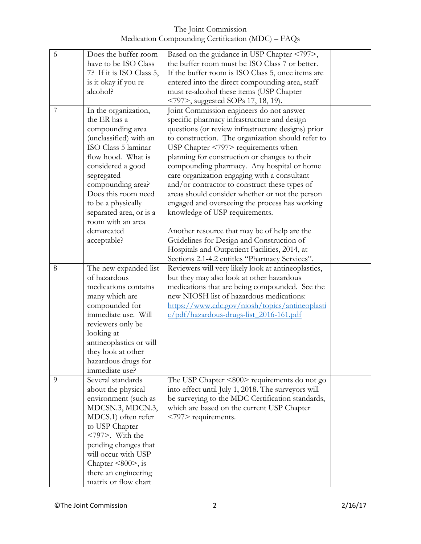| 6 | Does the buffer room                  | Based on the guidance in USP Chapter <797>,         |  |
|---|---------------------------------------|-----------------------------------------------------|--|
|   | have to be ISO Class                  | the buffer room must be ISO Class 7 or better.      |  |
|   | 7? If it is ISO Class 5,              | If the buffer room is ISO Class 5, once items are   |  |
|   | is it okay if you re-                 | entered into the direct compounding area, staff     |  |
|   | alcohol?                              | must re-alcohol these items (USP Chapter            |  |
|   |                                       | <797>, suggested SOPs 17, 18, 19).                  |  |
| 7 | In the organization,                  | Joint Commission engineers do not answer            |  |
|   | the ER has a                          | specific pharmacy infrastructure and design         |  |
|   |                                       |                                                     |  |
|   | compounding area                      | questions (or review infrastructure designs) prior  |  |
|   | (unclassified) with an                | to construction. The organization should refer to   |  |
|   | ISO Class 5 laminar                   | USP Chapter <797> requirements when                 |  |
|   | flow hood. What is                    | planning for construction or changes to their       |  |
|   | considered a good                     | compounding pharmacy. Any hospital or home          |  |
|   | segregated                            | care organization engaging with a consultant        |  |
|   | compounding area?                     | and/or contractor to construct these types of       |  |
|   | Does this room need                   | areas should consider whether or not the person     |  |
|   | to be a physically                    | engaged and overseeing the process has working      |  |
|   | separated area, or is a               | knowledge of USP requirements.                      |  |
|   | room with an area                     |                                                     |  |
|   | demarcated                            | Another resource that may be of help are the        |  |
|   | acceptable?                           | Guidelines for Design and Construction of           |  |
|   |                                       | Hospitals and Outpatient Facilities, 2014, at       |  |
|   |                                       | Sections 2.1-4.2 entitles "Pharmacy Services".      |  |
| 8 | The new expanded list                 | Reviewers will very likely look at antineoplastics, |  |
|   | of hazardous                          | but they may also look at other hazardous           |  |
|   | medications contains                  | medications that are being compounded. See the      |  |
|   | many which are                        | new NIOSH list of hazardous medications:            |  |
|   | compounded for                        | https://www.cdc.gov/niosh/topics/antineoplasti      |  |
|   | immediate use. Will                   | c/pdf/hazardous-drugs-list 2016-161.pdf             |  |
|   | reviewers only be                     |                                                     |  |
|   | looking at                            |                                                     |  |
|   | antineoplastics or will               |                                                     |  |
|   | they look at other                    |                                                     |  |
|   |                                       |                                                     |  |
|   | hazardous drugs for<br>immediate use? |                                                     |  |
| 9 | Several standards                     | The USP Chapter $\leq 800$ requirements do not go   |  |
|   |                                       |                                                     |  |
|   | about the physical                    | into effect until July 1, 2018. The surveyors will  |  |
|   | environment (such as                  | be surveying to the MDC Certification standards,    |  |
|   | MDCSN.3, MDCN.3,                      | which are based on the current USP Chapter          |  |
|   | MDCS.1) often refer                   | <797> requirements.                                 |  |
|   | to USP Chapter                        |                                                     |  |
|   | $<797$ . With the                     |                                                     |  |
|   | pending changes that                  |                                                     |  |
|   | will occur with USP                   |                                                     |  |
|   | Chapter $\leq 800$ , is               |                                                     |  |
|   | there an engineering                  |                                                     |  |
|   | matrix or flow chart                  |                                                     |  |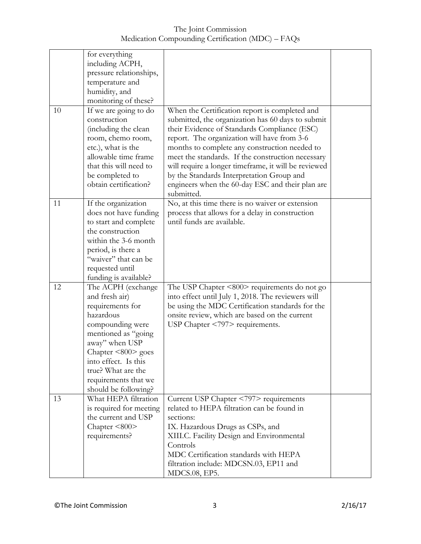The Joint Commission Medication Compounding Certification (MDC) – FAQs

|    | for everything          |                                                      |  |
|----|-------------------------|------------------------------------------------------|--|
|    | including ACPH,         |                                                      |  |
|    | pressure relationships, |                                                      |  |
|    | temperature and         |                                                      |  |
|    |                         |                                                      |  |
|    | humidity, and           |                                                      |  |
|    | monitoring of these?    |                                                      |  |
| 10 | If we are going to do   | When the Certification report is completed and       |  |
|    | construction            | submitted, the organization has 60 days to submit    |  |
|    | (including the clean    | their Evidence of Standards Compliance (ESC)         |  |
|    | room, chemo room,       | report. The organization will have from 3-6          |  |
|    | etc.), what is the      | months to complete any construction needed to        |  |
|    | allowable time frame    | meet the standards. If the construction necessary    |  |
|    | that this will need to  | will require a longer timeframe, it will be reviewed |  |
|    | be completed to         | by the Standards Interpretation Group and            |  |
|    | obtain certification?   | engineers when the 60-day ESC and their plan are     |  |
|    |                         | submitted.                                           |  |
| 11 | If the organization     | No, at this time there is no waiver or extension     |  |
|    | does not have funding   | process that allows for a delay in construction      |  |
|    | to start and complete   | until funds are available.                           |  |
|    | the construction        |                                                      |  |
|    | within the 3-6 month    |                                                      |  |
|    | period, is there a      |                                                      |  |
|    | "waiver" that can be    |                                                      |  |
|    |                         |                                                      |  |
|    | requested until         |                                                      |  |
|    | funding is available?   |                                                      |  |
| 12 | The ACPH (exchange)     | The USP Chapter <800> requirements do not go         |  |
|    | and fresh air)          | into effect until July 1, 2018. The reviewers will   |  |
|    | requirements for        | be using the MDC Certification standards for the     |  |
|    | hazardous               | onsite review, which are based on the current        |  |
|    | compounding were        | USP Chapter $\langle 797 \rangle$ requirements.      |  |
|    | mentioned as "going     |                                                      |  |
|    | away" when USP          |                                                      |  |
|    | Chapter $\leq 800$ goes |                                                      |  |
|    | into effect. Is this    |                                                      |  |
|    | true? What are the      |                                                      |  |
|    | requirements that we    |                                                      |  |
|    | should be following?    |                                                      |  |
| 13 | What HEPA filtration    | Current USP Chapter <797> requirements               |  |
|    | is required for meeting | related to HEPA filtration can be found in           |  |
|    | the current and USP     | sections:                                            |  |
|    | Chapter $\leq 800$      | IX. Hazardous Drugs as CSPs, and                     |  |
|    | requirements?           | XIII.C. Facility Design and Environmental            |  |
|    |                         | Controls                                             |  |
|    |                         | MDC Certification standards with HEPA                |  |
|    |                         | filtration include: MDCSN.03, EP11 and               |  |
|    |                         | MDCS.08, EP5.                                        |  |
|    |                         |                                                      |  |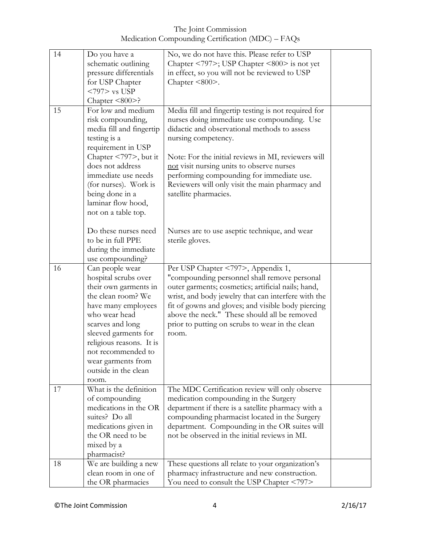The Joint Commission Medication Compounding Certification (MDC) – FAQs

| 14 | Do you have a                               | No, we do not have this. Please refer to USP         |  |
|----|---------------------------------------------|------------------------------------------------------|--|
|    | schematic outlining                         | Chapter <797>; USP Chapter <800> is not yet          |  |
|    | pressure differentials                      | in effect, so you will not be reviewed to USP        |  |
|    | for USP Chapter                             | Chapter $\leq 800$ .                                 |  |
|    | $<797>$ vs USP                              |                                                      |  |
|    |                                             |                                                      |  |
|    | Chapter $\leq 800$ >?<br>For low and medium |                                                      |  |
| 15 |                                             | Media fill and fingertip testing is not required for |  |
|    | risk compounding,                           | nurses doing immediate use compounding. Use          |  |
|    | media fill and fingertip                    | didactic and observational methods to assess         |  |
|    | testing is a                                | nursing competency.                                  |  |
|    | requirement in USP                          |                                                      |  |
|    | Chapter <797>, but it                       | Note: For the initial reviews in MI, reviewers will  |  |
|    | does not address                            | not visit nursing units to observe nurses            |  |
|    | immediate use needs                         | performing compounding for immediate use.            |  |
|    | (for nurses). Work is                       | Reviewers will only visit the main pharmacy and      |  |
|    | being done in a                             | satellite pharmacies.                                |  |
|    | laminar flow hood,                          |                                                      |  |
|    | not on a table top.                         |                                                      |  |
|    |                                             |                                                      |  |
|    | Do these nurses need                        | Nurses are to use aseptic technique, and wear        |  |
|    | to be in full PPE                           | sterile gloves.                                      |  |
|    | during the immediate                        |                                                      |  |
|    |                                             |                                                      |  |
|    | use compounding?                            |                                                      |  |
| 16 | Can people wear                             | Per USP Chapter <797>, Appendix 1,                   |  |
|    | hospital scrubs over                        | "compounding personnel shall remove personal         |  |
|    | their own garments in                       | outer garments; cosmetics; artificial nails; hand,   |  |
|    | the clean room? We                          | wrist, and body jewelry that can interfere with the  |  |
|    | have many employees                         | fit of gowns and gloves; and visible body piercing   |  |
|    | who wear head                               | above the neck." These should all be removed         |  |
|    | scarves and long                            | prior to putting on scrubs to wear in the clean      |  |
|    | sleeved garments for                        | room.                                                |  |
|    | religious reasons. It is                    |                                                      |  |
|    | not recommended to                          |                                                      |  |
|    | wear garments from                          |                                                      |  |
|    | outside in the clean                        |                                                      |  |
|    | room.                                       |                                                      |  |
| 17 | What is the definition                      | The MDC Certification review will only observe       |  |
|    | of compounding                              | medication compounding in the Surgery                |  |
|    | medications in the OR                       | department if there is a satellite pharmacy with a   |  |
|    | suites? Do all                              | compounding pharmacist located in the Surgery        |  |
|    | medications given in                        | department. Compounding in the OR suites will        |  |
|    | the OR need to be                           | not be observed in the initial reviews in MI.        |  |
|    |                                             |                                                      |  |
|    | mixed by a                                  |                                                      |  |
|    | pharmacist?                                 |                                                      |  |
| 18 | We are building a new                       | These questions all relate to your organization's    |  |
|    | clean room in one of                        | pharmacy infrastructure and new construction.        |  |
|    | the OR pharmacies                           | You need to consult the USP Chapter <797>            |  |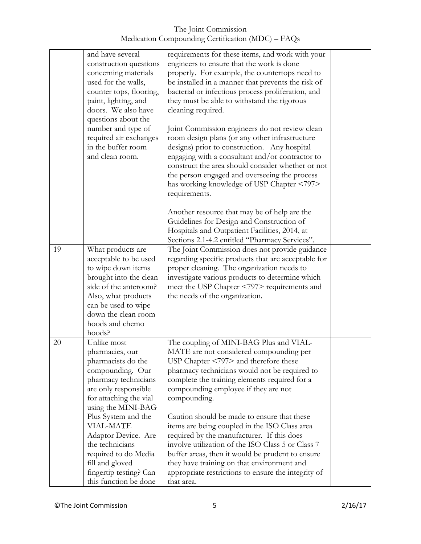|    | and have several        | requirements for these items, and work with your    |  |
|----|-------------------------|-----------------------------------------------------|--|
|    | construction questions  | engineers to ensure that the work is done           |  |
|    | concerning materials    | properly. For example, the countertops need to      |  |
|    | used for the walls,     | be installed in a manner that prevents the risk of  |  |
|    | counter tops, flooring, | bacterial or infectious process proliferation, and  |  |
|    | paint, lighting, and    | they must be able to withstand the rigorous         |  |
|    | doors. We also have     | cleaning required.                                  |  |
|    | questions about the     |                                                     |  |
|    | number and type of      | Joint Commission engineers do not review clean      |  |
|    | required air exchanges  | room design plans (or any other infrastructure      |  |
|    | in the buffer room      | designs) prior to construction. Any hospital        |  |
|    | and clean room.         | engaging with a consultant and/or contractor to     |  |
|    |                         | construct the area should consider whether or not   |  |
|    |                         | the person engaged and overseeing the process       |  |
|    |                         | has working knowledge of USP Chapter <797>          |  |
|    |                         | requirements.                                       |  |
|    |                         |                                                     |  |
|    |                         | Another resource that may be of help are the        |  |
|    |                         | Guidelines for Design and Construction of           |  |
|    |                         | Hospitals and Outpatient Facilities, 2014, at       |  |
|    |                         | Sections 2.1-4.2 entitled "Pharmacy Services".      |  |
| 19 | What products are       | The Joint Commission does not provide guidance      |  |
|    | acceptable to be used   | regarding specific products that are acceptable for |  |
|    | to wipe down items      | proper cleaning. The organization needs to          |  |
|    | brought into the clean  | investigate various products to determine which     |  |
|    | side of the anteroom?   | meet the USP Chapter <797> requirements and         |  |
|    | Also, what products     | the needs of the organization.                      |  |
|    | can be used to wipe     |                                                     |  |
|    | down the clean room     |                                                     |  |
|    |                         |                                                     |  |
|    | hoods and chemo         |                                                     |  |
|    | hoods?                  |                                                     |  |
| 20 | Unlike most             | The coupling of MINI-BAG Plus and VIAL-             |  |
|    | pharmacies, our         | MATE are not considered compounding per             |  |
|    | pharmacists do the      | USP Chapter <797> and therefore these               |  |
|    | compounding. Our        | pharmacy technicians would not be required to       |  |
|    | pharmacy technicians    | complete the training elements required for a       |  |
|    | are only responsible    | compounding employee if they are not                |  |
|    | for attaching the vial  | compounding.                                        |  |
|    | using the MINI-BAG      |                                                     |  |
|    | Plus System and the     | Caution should be made to ensure that these         |  |
|    | <b>VIAL-MATE</b>        | items are being coupled in the ISO Class area       |  |
|    | Adaptor Device. Are     | required by the manufacturer. If this does          |  |
|    | the technicians         | involve utilization of the ISO Class 5 or Class 7   |  |
|    | required to do Media    | buffer areas, then it would be prudent to ensure    |  |
|    | fill and gloved         | they have training on that environment and          |  |
|    | fingertip testing? Can  | appropriate restrictions to ensure the integrity of |  |
|    | this function be done   | that area.                                          |  |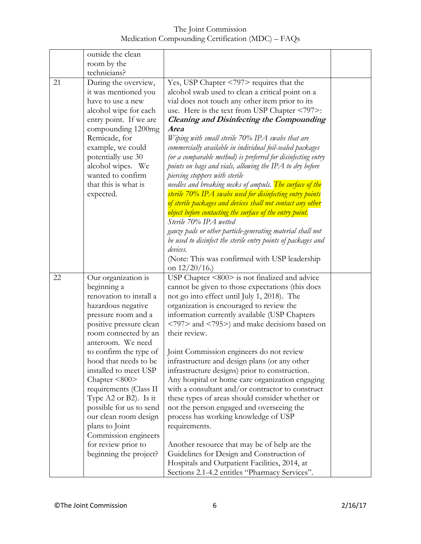The Joint Commission Medication Compounding Certification (MDC) – FAQs

|    | outside the clean<br>room by the                                                                                                                                                                                                                                                                                                                                                                                                                                                       |                                                                                                                                                                                                                                                                                                                                                                                                                                                                                                                                                                                                                                                                                                                                                                                                                                                                                                                                                                                                                                                  |  |
|----|----------------------------------------------------------------------------------------------------------------------------------------------------------------------------------------------------------------------------------------------------------------------------------------------------------------------------------------------------------------------------------------------------------------------------------------------------------------------------------------|--------------------------------------------------------------------------------------------------------------------------------------------------------------------------------------------------------------------------------------------------------------------------------------------------------------------------------------------------------------------------------------------------------------------------------------------------------------------------------------------------------------------------------------------------------------------------------------------------------------------------------------------------------------------------------------------------------------------------------------------------------------------------------------------------------------------------------------------------------------------------------------------------------------------------------------------------------------------------------------------------------------------------------------------------|--|
|    | technicians?                                                                                                                                                                                                                                                                                                                                                                                                                                                                           |                                                                                                                                                                                                                                                                                                                                                                                                                                                                                                                                                                                                                                                                                                                                                                                                                                                                                                                                                                                                                                                  |  |
| 21 | During the overview,<br>it was mentioned you<br>have to use a new<br>alcohol wipe for each<br>entry point. If we are<br>compounding 1200mg<br>Remicade, for<br>example, we could<br>potentially use 30<br>alcohol wipes. We<br>wanted to confirm<br>that this is what is<br>expected.                                                                                                                                                                                                  | Yes, USP Chapter <797> requires that the<br>alcohol swab used to clean a critical point on a<br>vial does not touch any other item prior to its<br>use. Here is the text from USP Chapter <797>:<br><b>Cleaning and Disinfecting the Compounding</b><br><b>Area</b><br>Wiping with small sterile 70% IPA swabs that are<br>commercially available in individual foil-sealed packages<br>(or a comparable method) is preferred for disinfecting entry<br>points on bags and vials, allowing the IPA to dry before<br>piercing stoppers with sterile<br>needles and breaking necks of ampuls. The surface of the<br>sterile 70% IPA swabs used for disinfecting entry points<br>of sterile packages and devices shall not contact any other<br>object before contacting the surface of the entry point.<br>Sterile 70% IPA wetted<br>gauze pads or other particle-generating material shall not<br>be used to disinfect the sterile entry points of packages and<br>devices.<br>(Note: This was confirmed with USP leadership)<br>on $12/20/16$ .) |  |
| 22 | Our organization is<br>beginning a<br>renovation to install a<br>hazardous negative<br>pressure room and a<br>positive pressure clean<br>room connected by an<br>anteroom. We need<br>to confirm the type of<br>hood that needs to be<br>installed to meet USP<br>Chapter $\leq 800$<br>requirements (Class II<br>Type A2 or B2). Is it<br>possible for us to send<br>our clean room design<br>plans to Joint<br>Commission engineers<br>for review prior to<br>beginning the project? | USP Chapter <800> is not finalized and advice<br>cannot be given to those expectations (this does<br>not go into effect until July 1, 2018). The<br>organization is encouraged to review the<br>information currently available (USP Chapters<br><797> and <795>) and make decisions based on<br>their review.<br>Joint Commission engineers do not review<br>infrastructure and design plans (or any other<br>infrastructure designs) prior to construction.<br>Any hospital or home care organization engaging<br>with a consultant and/or contractor to construct<br>these types of areas should consider whether or<br>not the person engaged and overseeing the<br>process has working knowledge of USP<br>requirements.<br>Another resource that may be of help are the<br>Guidelines for Design and Construction of<br>Hospitals and Outpatient Facilities, 2014, at<br>Sections 2.1-4.2 entitles "Pharmacy Services".                                                                                                                    |  |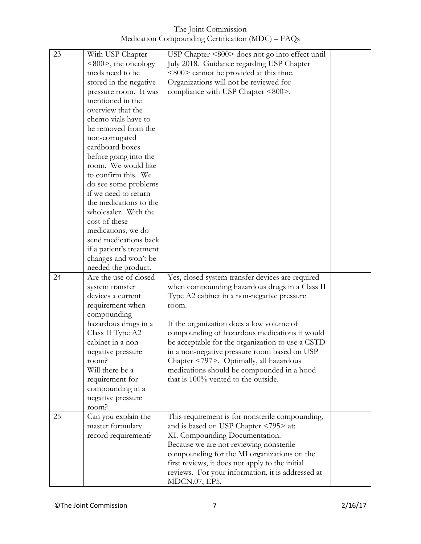The Joint Commission Medication Compounding Certification (MDC) – FAQs

| 23 | With USP Chapter         | USP Chapter <800> does not go into effect until                    |  |
|----|--------------------------|--------------------------------------------------------------------|--|
|    | $<800>$ , the oncology   | July 2018. Guidance regarding USP Chapter                          |  |
|    | meds need to be          | <800> cannot be provided at this time.                             |  |
|    | stored in the negative   | Organizations will not be reviewed for                             |  |
|    |                          | compliance with USP Chapter <800>.                                 |  |
|    | pressure room. It was    |                                                                    |  |
|    | mentioned in the         |                                                                    |  |
|    | overview that the        |                                                                    |  |
|    | chemo vials have to      |                                                                    |  |
|    | be removed from the      |                                                                    |  |
|    | non-corrugated           |                                                                    |  |
|    | cardboard boxes          |                                                                    |  |
|    | before going into the    |                                                                    |  |
|    | room. We would like      |                                                                    |  |
|    | to confirm this. We      |                                                                    |  |
|    | do see some problems     |                                                                    |  |
|    | if we need to return     |                                                                    |  |
|    | the medications to the   |                                                                    |  |
|    | wholesaler. With the     |                                                                    |  |
|    | cost of these            |                                                                    |  |
|    | medications, we do       |                                                                    |  |
|    | send medications back    |                                                                    |  |
|    | if a patient's treatment |                                                                    |  |
|    | changes and won't be     |                                                                    |  |
|    | needed the product.      |                                                                    |  |
| 24 | Are the use of closed    | Yes, closed system transfer devices are required                   |  |
|    | system transfer          | when compounding hazardous drugs in a Class II                     |  |
|    | devices a current        | Type A2 cabinet in a non-negative pressure                         |  |
|    | requirement when         | room.                                                              |  |
|    | compounding              |                                                                    |  |
|    | hazardous drugs in a     | If the organization does a low volume of                           |  |
|    | Class II Type A2         | compounding of hazardous medications it would                      |  |
|    | cabinet in a non-        | be acceptable for the organization to use a CSTD                   |  |
|    | negative pressure        | in a non-negative pressure room based on USP                       |  |
|    | room?                    | Chapter <797>. Optimally, all hazardous                            |  |
|    | Will there be a          | medications should be compounded in a hood                         |  |
|    | requirement for          | that is 100% vented to the outside.                                |  |
|    | compounding in a         |                                                                    |  |
|    |                          |                                                                    |  |
|    |                          |                                                                    |  |
|    | negative pressure        |                                                                    |  |
|    | room?                    |                                                                    |  |
| 25 | Can you explain the      | This requirement is for nonsterile compounding,                    |  |
|    | master formulary         | and is based on USP Chapter <795> at:                              |  |
|    | record requirement?      | XI. Compounding Documentation.                                     |  |
|    |                          | Because we are not reviewing nonsterile                            |  |
|    |                          | compounding for the MI organizations on the                        |  |
|    |                          | first reviews, it does not apply to the initial                    |  |
|    |                          | reviews. For your information, it is addressed at<br>MDCN.07, EP5. |  |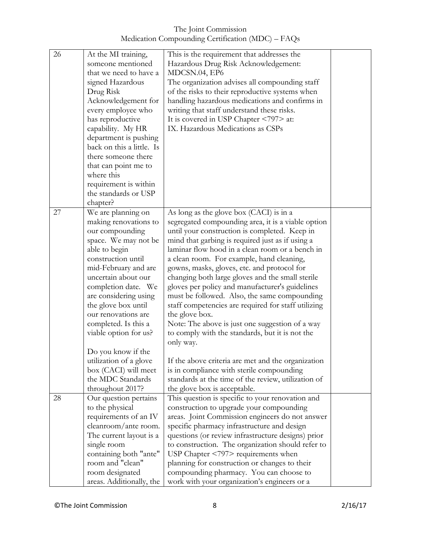The Joint Commission Medication Compounding Certification (MDC) – FAQs

| 26 | At the MI training,<br>someone mentioned<br>that we need to have a<br>signed Hazardous<br>Drug Risk<br>Acknowledgement for<br>every employee who<br>has reproductive<br>capability. My HR<br>department is pushing<br>back on this a little. Is                                                                                                                                                                          | This is the requirement that addresses the<br>Hazardous Drug Risk Acknowledgement:<br>MDCSN.04, EP6<br>The organization advises all compounding staff<br>of the risks to their reproductive systems when<br>handling hazardous medications and confirms in<br>writing that staff understand these risks.<br>It is covered in USP Chapter <797> at:<br>IX. Hazardous Medications as CSPs                                                                                                                                                                                                                                                                                                                                                                                                                                                                        |  |
|----|--------------------------------------------------------------------------------------------------------------------------------------------------------------------------------------------------------------------------------------------------------------------------------------------------------------------------------------------------------------------------------------------------------------------------|----------------------------------------------------------------------------------------------------------------------------------------------------------------------------------------------------------------------------------------------------------------------------------------------------------------------------------------------------------------------------------------------------------------------------------------------------------------------------------------------------------------------------------------------------------------------------------------------------------------------------------------------------------------------------------------------------------------------------------------------------------------------------------------------------------------------------------------------------------------|--|
|    | there someone there<br>that can point me to<br>where this<br>requirement is within<br>the standards or USP<br>chapter?                                                                                                                                                                                                                                                                                                   |                                                                                                                                                                                                                                                                                                                                                                                                                                                                                                                                                                                                                                                                                                                                                                                                                                                                |  |
| 27 | We are planning on<br>making renovations to<br>our compounding<br>space. We may not be<br>able to begin<br>construction until<br>mid-February and are<br>uncertain about our<br>completion date. We<br>are considering using<br>the glove box until<br>our renovations are<br>completed. Is this a<br>viable option for us?<br>Do you know if the<br>utilization of a glove<br>box (CACI) will meet<br>the MDC Standards | As long as the glove box (CACI) is in a<br>segregated compounding area, it is a viable option<br>until your construction is completed. Keep in<br>mind that garbing is required just as if using a<br>laminar flow hood in a clean room or a bench in<br>a clean room. For example, hand cleaning,<br>gowns, masks, gloves, etc. and protocol for<br>changing both large gloves and the small sterile<br>gloves per policy and manufacturer's guidelines<br>must be followed. Also, the same compounding<br>staff competencies are required for staff utilizing<br>the glove box.<br>Note: The above is just one suggestion of a way<br>to comply with the standards, but it is not the<br>only way.<br>If the above criteria are met and the organization<br>is in compliance with sterile compounding<br>standards at the time of the review, utilization of |  |
| 28 | throughout 2017?<br>Our question pertains<br>to the physical<br>requirements of an IV                                                                                                                                                                                                                                                                                                                                    | the glove box is acceptable.<br>This question is specific to your renovation and<br>construction to upgrade your compounding<br>areas. Joint Commission engineers do not answer                                                                                                                                                                                                                                                                                                                                                                                                                                                                                                                                                                                                                                                                                |  |
|    | cleanroom/ante room.<br>The current layout is a<br>single room<br>containing both "ante"<br>room and "clean"<br>room designated<br>areas. Additionally, the                                                                                                                                                                                                                                                              | specific pharmacy infrastructure and design<br>questions (or review infrastructure designs) prior<br>to construction. The organization should refer to<br>USP Chapter $\langle 797 \rangle$ requirements when<br>planning for construction or changes to their<br>compounding pharmacy. You can choose to<br>work with your organization's engineers or a                                                                                                                                                                                                                                                                                                                                                                                                                                                                                                      |  |